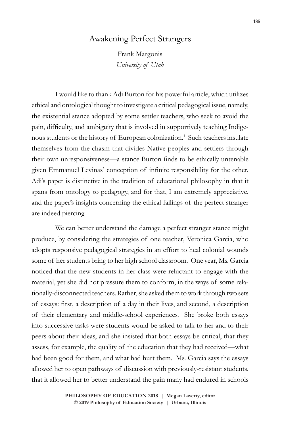## Awakening Perfect Strangers

Frank Margonis *University of Utah*

I would like to thank Adi Burton for his powerful article, which utilizes ethical and ontological thought to investigate a critical pedagogical issue, namely, the existential stance adopted by some settler teachers, who seek to avoid the pain, difficulty, and ambiguity that is involved in supportively teaching Indigenous students or the history of European colonization.<sup>1</sup> Such teachers insulate themselves from the chasm that divides Native peoples and settlers through their own unresponsiveness—a stance Burton finds to be ethically untenable given Emmanuel Levinas' conception of infinite responsibility for the other. Adi's paper is distinctive in the tradition of educational philosophy in that it spans from ontology to pedagogy, and for that, I am extremely appreciative, and the paper's insights concerning the ethical failings of the perfect stranger are indeed piercing.

We can better understand the damage a perfect stranger stance might produce, by considering the strategies of one teacher, Veronica Garcia, who adopts responsive pedagogical strategies in an effort to heal colonial wounds some of her students bring to her high school classroom. One year, Ms. Garcia noticed that the new students in her class were reluctant to engage with the material, yet she did not pressure them to conform, in the ways of some relationally-disconnected teachers. Rather, she asked them to work through two sets of essays: first, a description of a day in their lives, and second, a description of their elementary and middle-school experiences. She broke both essays into successive tasks were students would be asked to talk to her and to their peers about their ideas, and she insisted that both essays be critical, that they assess, for example, the quality of the education that they had received—what had been good for them, and what had hurt them. Ms. Garcia says the essays allowed her to open pathways of discussion with previously-resistant students, that it allowed her to better understand the pain many had endured in schools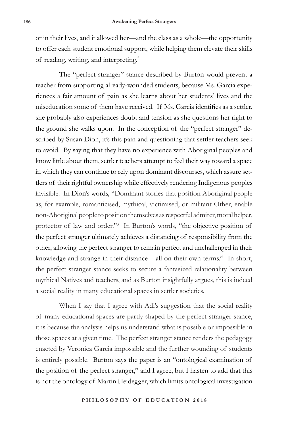or in their lives, and it allowed her—and the class as a whole—the opportunity to offer each student emotional support, while helping them elevate their skills of reading, writing, and interpreting.2

The "perfect stranger" stance described by Burton would prevent a teacher from supporting already-wounded students, because Ms. Garcia experiences a fair amount of pain as she learns about her students' lives and the miseducation some of them have received. If Ms. Garcia identifies as a settler, she probably also experiences doubt and tension as she questions her right to the ground she walks upon. In the conception of the "perfect stranger" described by Susan Dion, it's this pain and questioning that settler teachers seek to avoid. By saying that they have no experience with Aboriginal peoples and know little about them, settler teachers attempt to feel their way toward a space in which they can continue to rely upon dominant discourses, which assure settlers of their rightful ownership while effectively rendering Indigenous peoples invisible. In Dion's words, "Dominant stories that position Aboriginal people as, for example, romanticised, mythical, victimised, or militant Other, enable non-Aboriginal people to position themselves as respectful admirer, moral helper, protector of law and order."3 In Burton's words, "the objective position of the perfect stranger ultimately achieves a distancing of responsibility from the other, allowing the perfect stranger to remain perfect and unchallenged in their knowledge and strange in their distance – all on their own terms." In short, the perfect stranger stance seeks to secure a fantasized relationality between mythical Natives and teachers, and as Burton insightfully argues, this is indeed a social reality in many educational spaces in settler societies.

When I say that I agree with Adi's suggestion that the social reality of many educational spaces are partly shaped by the perfect stranger stance, it is because the analysis helps us understand what is possible or impossible in those spaces at a given time. The perfect stranger stance renders the pedagogy enacted by Veronica Garcia impossible and the further wounding of students is entirely possible. Burton says the paper is an "ontological examination of the position of the perfect stranger," and I agree, but I hasten to add that this is not the ontology of Martin Heidegger, which limits ontological investigation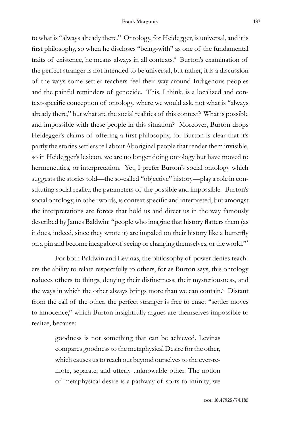to what is "always already there." Ontology, for Heidegger, is universal, and it is first philosophy, so when he discloses "being-with" as one of the fundamental traits of existence, he means always in all contexts.<sup>4</sup> Burton's examination of the perfect stranger is not intended to be universal, but rather, it is a discussion of the ways some settler teachers feel their way around Indigenous peoples and the painful reminders of genocide. This, I think, is a localized and context-specific conception of ontology, where we would ask, not what is "always already there," but what are the social realities of this context? What is possible and impossible with these people in this situation? Moreover, Burton drops Heidegger's claims of offering a first philosophy, for Burton is clear that it's partly the stories settlers tell about Aboriginal people that render them invisible, so in Heidegger's lexicon, we are no longer doing ontology but have moved to hermeneutics, or interpretation. Yet, I prefer Burton's social ontology which suggests the stories told—the so-called "objective" history—play a role in constituting social reality, the parameters of the possible and impossible. Burton's social ontology, in other words, is context specific and interpreted, but amongst the interpretations are forces that hold us and direct us in the way famously described by James Baldwin: "people who imagine that history flatters them (as it does, indeed, since they wrote it) are impaled on their history like a butterfly on a pin and become incapable of seeing or changing themselves, or the world."5

For both Baldwin and Levinas, the philosophy of power denies teachers the ability to relate respectfully to others, for as Burton says, this ontology reduces others to things, denying their distinctness, their mysteriousness, and the ways in which the other always brings more than we can contain.<sup>6</sup> Distant from the call of the other, the perfect stranger is free to enact "settler moves to innocence," which Burton insightfully argues are themselves impossible to realize, because:

> goodness is not something that can be achieved. Levinas compares goodness to the metaphysical Desire for the other, which causes us to reach out beyond ourselves to the ever-remote, separate, and utterly unknowable other. The notion of metaphysical desire is a pathway of sorts to infinity; we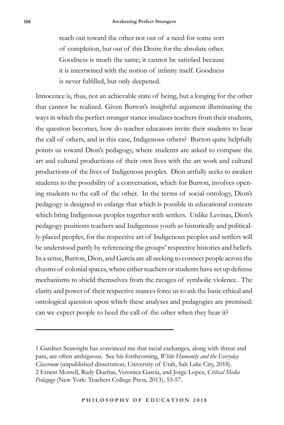reach out toward the other not out of a need for some sort

of completion, but out of this Desire for the absolute other. Goodness is much the same; it cannot be satisfied because it is intertwined with the notion of infinity itself. Goodness is never fulfilled, but only deepened.

Innocence is, thus, not an achievable state of being, but a longing for the other that cannot be realized. Given Burton's insightful argument illuminating the ways in which the perfect stranger stance insulates teachers from their students, the question becomes, how do teacher educators invite their students to hear the call of others, and in this case, Indigenous others? Burton quite helpfully points us toward Dion's pedagogy, where students are asked to compare the art and cultural productions of their own lives with the art work and cultural productions of the lives of Indigenous peoples. Dion artfully seeks to awaken students to the possibility of a conversation, which for Burton, involves opening students to the call of the other. In the terms of social ontology, Dion's pedagogy is designed to enlarge that which is possible in educational contexts which bring Indigenous peoples together with settlers. Unlike Levinas, Dion's pedagogy positions teachers and Indigenous youth as historically and politically-placed peoples, for the respective art of Indigenous peoples and settlers will be understood partly by referencing the groups' respective histories and beliefs. In a sense, Burton, Dion, and Garcia are all seeking to connect people across the chasms of colonial spaces, where either teachers or students have set up defense mechanisms to shield themselves from the ravages of symbolic violence. The clarity and power of their respective stances force us to ask the basic ethical and ontological question upon which these analyses and pedagogies are premised: can we expect people to heed the call of the other when they hear it?

<sup>1</sup> Gardner Seawright has convinced me that racial exchanges, along with threat and pain, are often ambiguous. See his forthcoming, *White Humanity and the Everyday Classroom* (unpublished dissertation, University of Utah, Salt Lake City, 2018). 2 Ernest Morrell, Rudy Dueñas, Veronica Garcia, and Jorge Lopez, *Critical Media Pedagogy* (New York: Teachers College Press, 2013), 53-57.